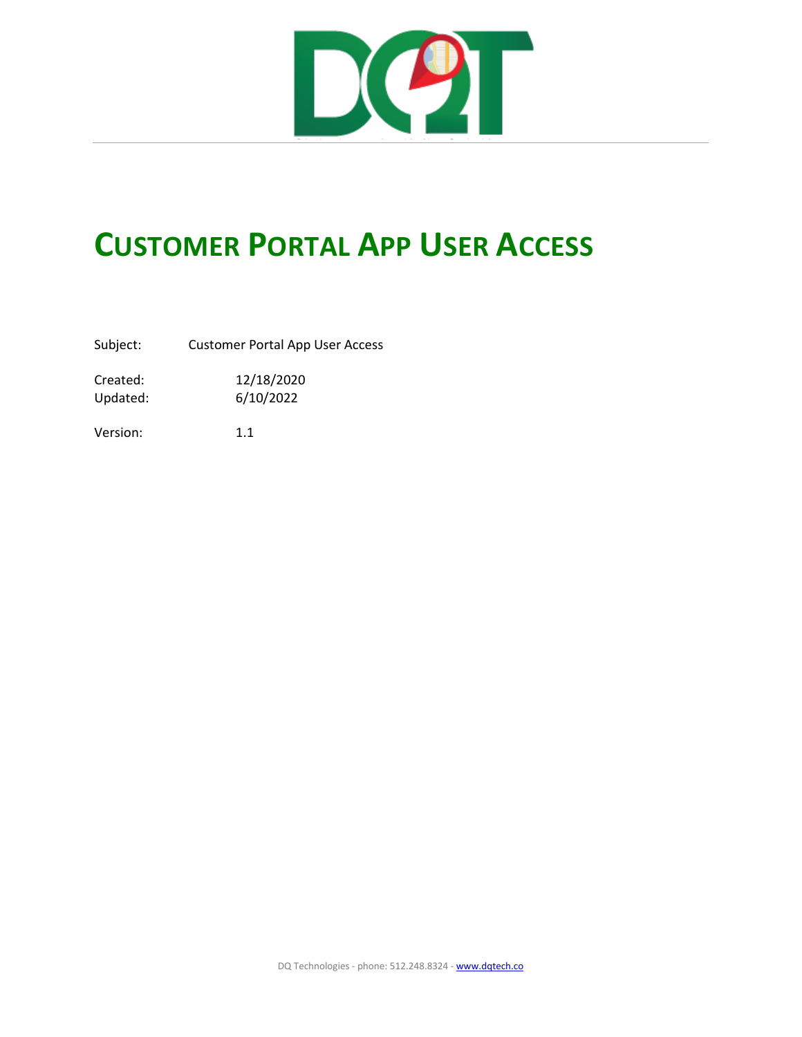

## **CUSTOMER PORTAL APP USER ACCESS**

Subject: Customer Portal App User Access

Created: 12/18/2020 Updated: 6/10/2022

Version: 1.1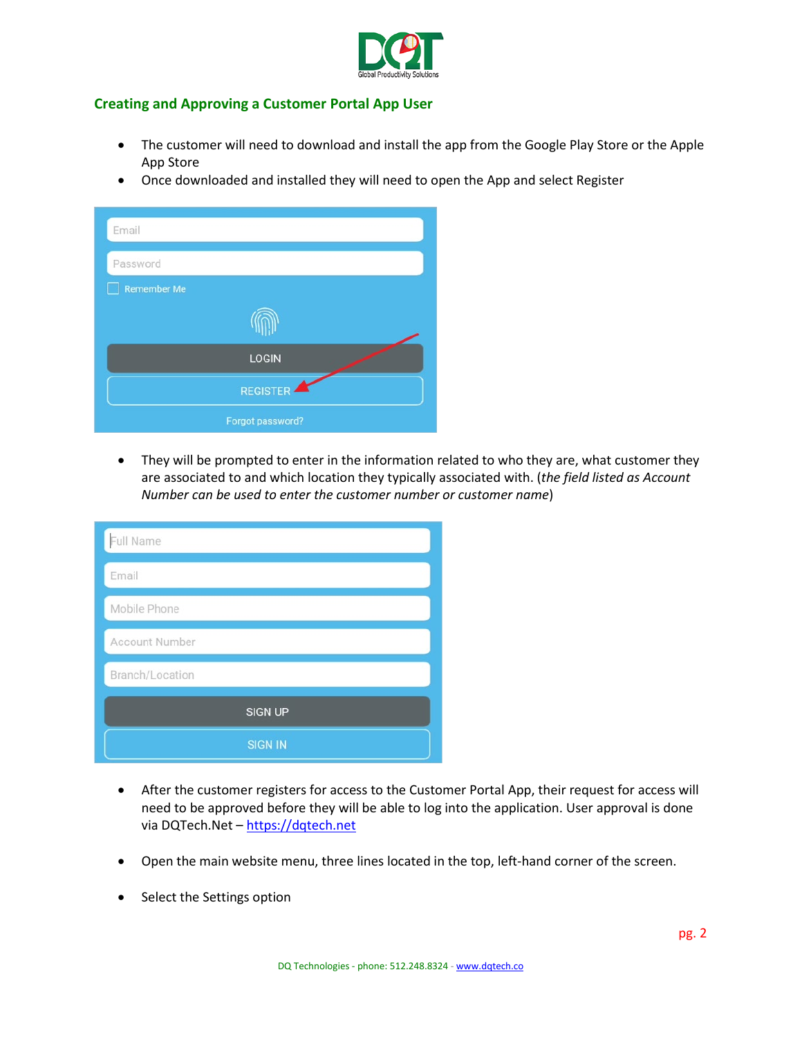

## **Creating and Approving a Customer Portal App User**

- The customer will need to download and install the app from the Google Play Store or the Apple App Store
- Once downloaded and installed they will need to open the App and select Register

| Email            |  |
|------------------|--|
| Password         |  |
| Remember Me      |  |
|                  |  |
| <b>LOGIN</b>     |  |
| <b>REGISTER</b>  |  |
| Forgot password? |  |

• They will be prompted to enter in the information related to who they are, what customer they are associated to and which location they typically associated with. (*the field listed as Account Number can be used to enter the customer number or customer name*)

| Full Name             |
|-----------------------|
| Email                 |
| Mobile Phone          |
| <b>Account Number</b> |
| Branch/Location       |
| <b>SIGN UP</b>        |
| <b>SIGN IN</b>        |

- After the customer registers for access to the Customer Portal App, their request for access will need to be approved before they will be able to log into the application. User approval is done via DQTech.Net – [https://dqtech.net](https://dqtech.net/)
- Open the main website menu, three lines located in the top, left-hand corner of the screen.
- Select the Settings option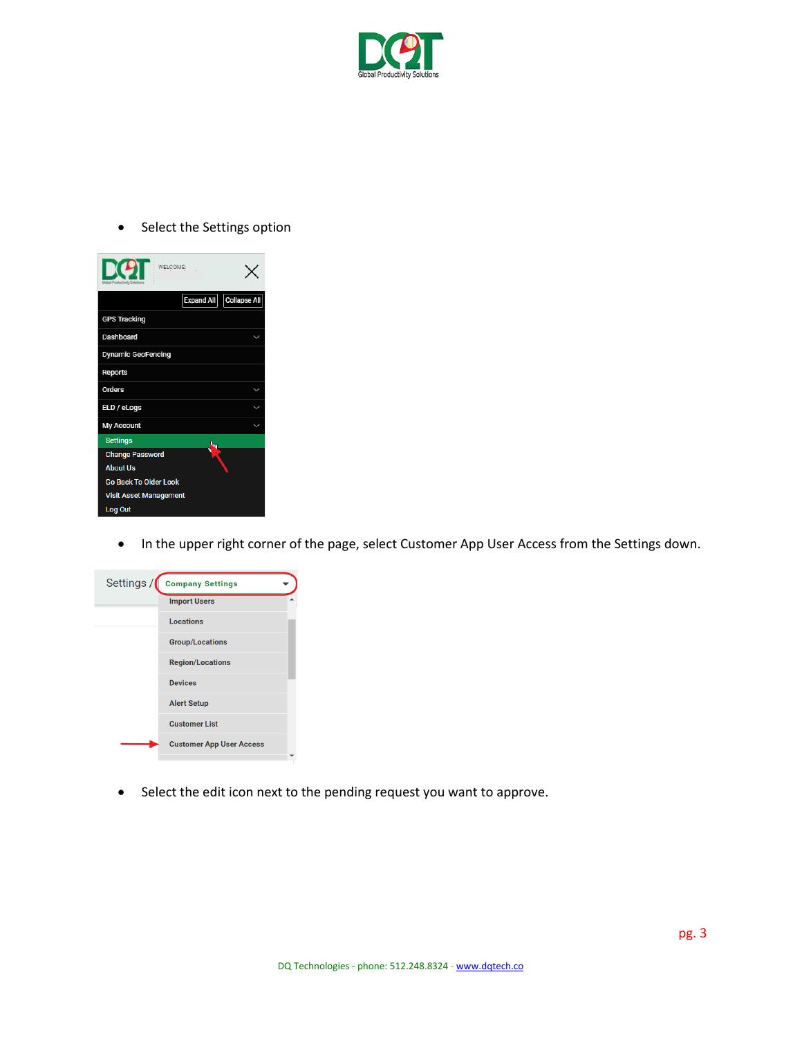

• Select the Settings option

| WELCOME:<br>Global Productivity Solution |              |
|------------------------------------------|--------------|
| Expand All                               | Collapse All |
| <b>GPS Tracking</b>                      |              |
| Dashboard                                |              |
| <b>Dynamic GeoFencing</b>                |              |
| <b>Reports</b>                           |              |
| <b>Orders</b>                            |              |
| ELD / eLogs                              |              |
| <b>My Account</b>                        |              |
| <b>Settings</b><br>⇖                     |              |
| <b>Change Password</b>                   |              |
| <b>About Us</b>                          |              |
| <b>Go Back To Older Look</b>             |              |
| <b>Visit Asset Management</b>            |              |
| Log Out                                  |              |

• In the upper right corner of the page, select Customer App User Access from the Settings down.



• Select the edit icon next to the pending request you want to approve.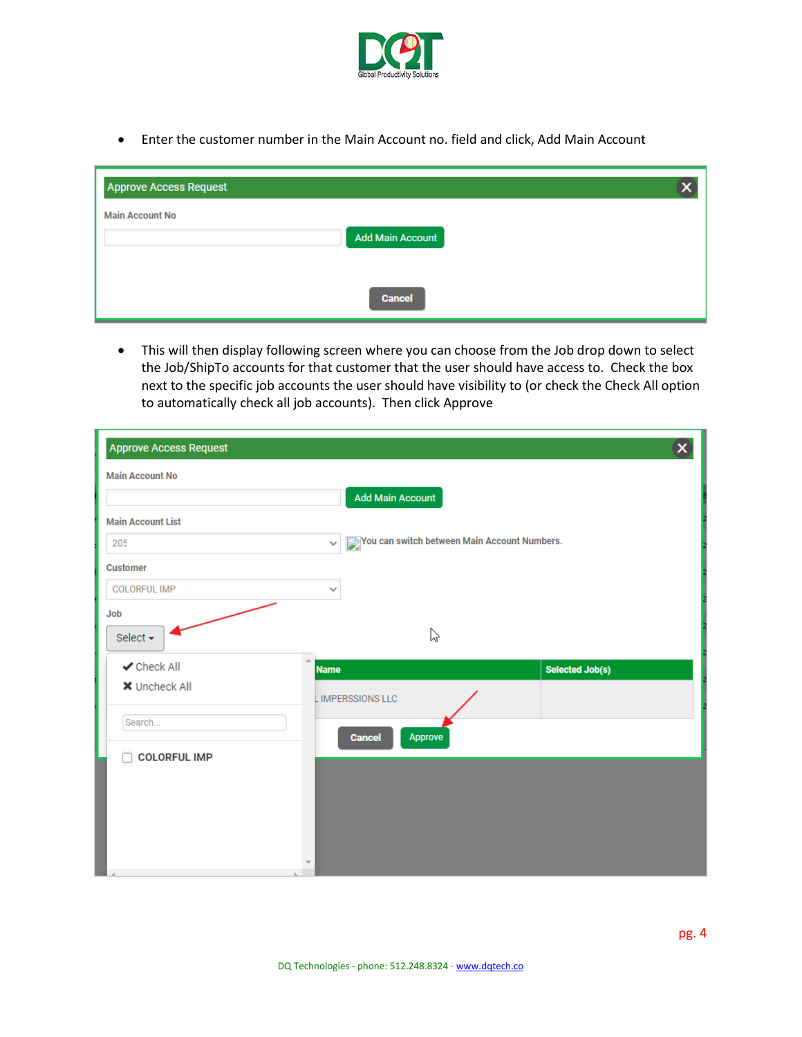

• Enter the customer number in the Main Account no. field and click, Add Main Account

| <b>Approve Access Request</b> |  |
|-------------------------------|--|
| <b>Main Account No</b>        |  |
| <b>Add Main Account</b>       |  |
|                               |  |
| <b>Cancel</b>                 |  |

• This will then display following screen where you can choose from the Job drop down to select the Job/ShipTo accounts for that customer that the user should have access to. Check the box next to the specific job accounts the user should have visibility to (or check the Check All option to automatically check all job accounts). Then click Approve

| <b>Approve Access Request</b>   |                                                              | $\mathbf{x}$    |
|---------------------------------|--------------------------------------------------------------|-----------------|
| <b>Main Account No</b>          |                                                              |                 |
|                                 | <b>Add Main Account</b>                                      |                 |
| <b>Main Account List</b>        |                                                              |                 |
| 205                             | Vou can switch between Main Account Numbers.<br>$\checkmark$ |                 |
| <b>Customer</b>                 |                                                              |                 |
| <b>COLORFUL IMP</b>             | $\checkmark$                                                 |                 |
| Job                             |                                                              |                 |
| Select -                        | じ                                                            |                 |
| $\blacktriangleright$ Check All | A.<br><b>Name</b>                                            | Selected Job(s) |
| <b>*</b> Uncheck All            | <b>LIMPERSSIONS LLC</b>                                      |                 |
| Search                          |                                                              |                 |
|                                 | Approve<br><b>Cancel</b>                                     |                 |
| <b>COLORFUL IMP</b>             |                                                              |                 |
|                                 |                                                              |                 |
|                                 |                                                              |                 |
|                                 |                                                              |                 |
|                                 |                                                              |                 |
|                                 |                                                              |                 |